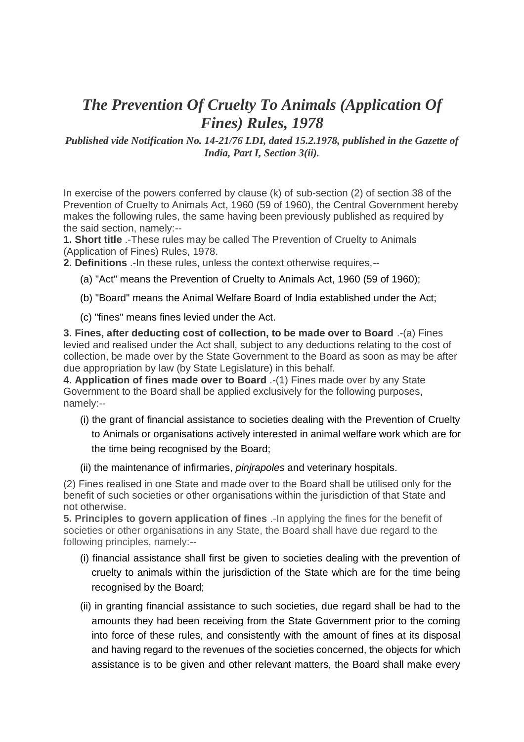## *The Prevention Of Cruelty To Animals (Application Of Fines) Rules, 1978*

*Published vide Notification No. 14-21/76 LDI, dated 15.2.1978, published in the Gazette of India, Part I, Section 3(ii).*

In exercise of the powers conferred by clause (k) of sub-section (2) of section 38 of the Prevention of Cruelty to Animals Act, 1960 (59 of 1960), the Central Government hereby makes the following rules, the same having been previously published as required by the said section, namely:--

**1. Short title** .-These rules may be called The Prevention of Cruelty to Animals (Application of Fines) Rules, 1978.

**2. Definitions** .-In these rules, unless the context otherwise requires,--

- (a) "Act" means the Prevention of Cruelty to Animals Act, 1960 (59 of 1960);
- (b) "Board" means the Animal Welfare Board of India established under the Act;
- (c) "fines" means fines levied under the Act.

**3. Fines, after deducting cost of collection, to be made over to Board** .-(a) Fines levied and realised under the Act shall, subject to any deductions relating to the cost of collection, be made over by the State Government to the Board as soon as may be after due appropriation by law (by State Legislature) in this behalf.

**4. Application of fines made over to Board** .-(1) Fines made over by any State Government to the Board shall be applied exclusively for the following purposes, namely:--

- (i) the grant of financial assistance to societies dealing with the Prevention of Cruelty to Animals or organisations actively interested in animal welfare work which are for the time being recognised by the Board;
- (ii) the maintenance of infirmaries, *pinjrapoles* and veterinary hospitals.

(2) Fines realised in one State and made over to the Board shall be utilised only for the benefit of such societies or other organisations within the jurisdiction of that State and not otherwise.

**5. Principles to govern application of fines** .-In applying the fines for the benefit of societies or other organisations in any State, the Board shall have due regard to the following principles, namely:--

- (i) financial assistance shall first be given to societies dealing with the prevention of cruelty to animals within the jurisdiction of the State which are for the time being recognised by the Board;
- (ii) in granting financial assistance to such societies, due regard shall be had to the amounts they had been receiving from the State Government prior to the coming into force of these rules, and consistently with the amount of fines at its disposal and having regard to the revenues of the societies concerned, the objects for which assistance is to be given and other relevant matters, the Board shall make every